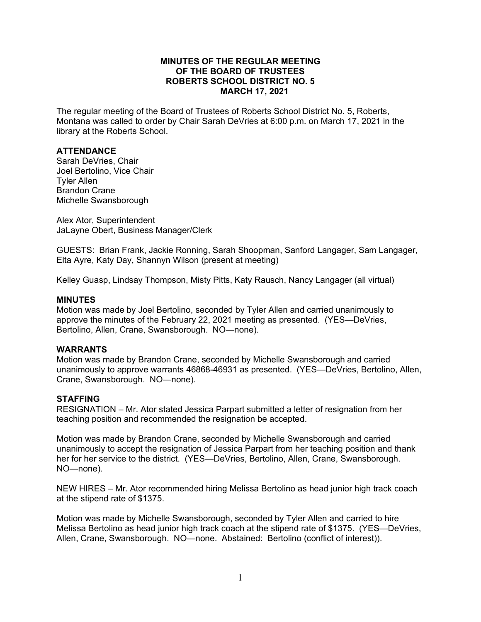#### **MINUTES OF THE REGULAR MEETING OF THE BOARD OF TRUSTEES ROBERTS SCHOOL DISTRICT NO. 5 MARCH 17, 2021**

The regular meeting of the Board of Trustees of Roberts School District No. 5, Roberts, Montana was called to order by Chair Sarah DeVries at 6:00 p.m. on March 17, 2021 in the library at the Roberts School.

#### **ATTENDANCE**

Sarah DeVries, Chair Joel Bertolino, Vice Chair Tyler Allen Brandon Crane Michelle Swansborough

Alex Ator, Superintendent JaLayne Obert, Business Manager/Clerk

GUESTS: Brian Frank, Jackie Ronning, Sarah Shoopman, Sanford Langager, Sam Langager, Elta Ayre, Katy Day, Shannyn Wilson (present at meeting)

Kelley Guasp, Lindsay Thompson, Misty Pitts, Katy Rausch, Nancy Langager (all virtual)

#### **MINUTES**

Motion was made by Joel Bertolino, seconded by Tyler Allen and carried unanimously to approve the minutes of the February 22, 2021 meeting as presented. (YES—DeVries, Bertolino, Allen, Crane, Swansborough. NO—none).

#### **WARRANTS**

Motion was made by Brandon Crane, seconded by Michelle Swansborough and carried unanimously to approve warrants 46868-46931 as presented. (YES—DeVries, Bertolino, Allen, Crane, Swansborough. NO—none).

#### **STAFFING**

RESIGNATION – Mr. Ator stated Jessica Parpart submitted a letter of resignation from her teaching position and recommended the resignation be accepted.

Motion was made by Brandon Crane, seconded by Michelle Swansborough and carried unanimously to accept the resignation of Jessica Parpart from her teaching position and thank her for her service to the district. (YES—DeVries, Bertolino, Allen, Crane, Swansborough. NO—none).

NEW HIRES – Mr. Ator recommended hiring Melissa Bertolino as head junior high track coach at the stipend rate of \$1375.

Motion was made by Michelle Swansborough, seconded by Tyler Allen and carried to hire Melissa Bertolino as head junior high track coach at the stipend rate of \$1375. (YES—DeVries, Allen, Crane, Swansborough. NO—none. Abstained: Bertolino (conflict of interest)).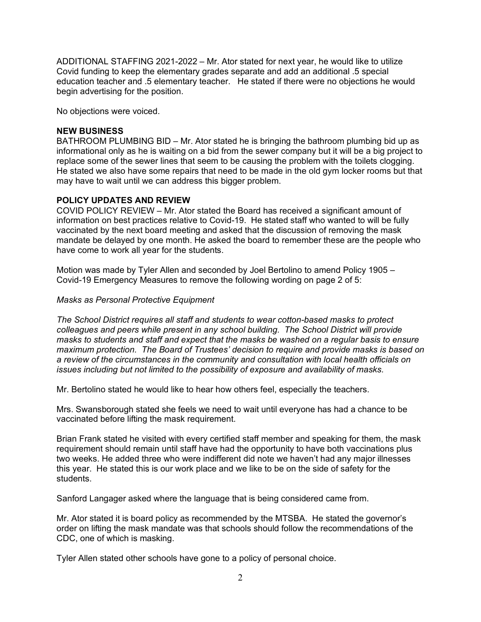ADDITIONAL STAFFING 2021-2022 – Mr. Ator stated for next year, he would like to utilize Covid funding to keep the elementary grades separate and add an additional .5 special education teacher and .5 elementary teacher. He stated if there were no objections he would begin advertising for the position.

No objections were voiced.

### **NEW BUSINESS**

BATHROOM PLUMBING BID – Mr. Ator stated he is bringing the bathroom plumbing bid up as informational only as he is waiting on a bid from the sewer company but it will be a big project to replace some of the sewer lines that seem to be causing the problem with the toilets clogging. He stated we also have some repairs that need to be made in the old gym locker rooms but that may have to wait until we can address this bigger problem.

#### **POLICY UPDATES AND REVIEW**

COVID POLICY REVIEW – Mr. Ator stated the Board has received a significant amount of information on best practices relative to Covid-19. He stated staff who wanted to will be fully vaccinated by the next board meeting and asked that the discussion of removing the mask mandate be delayed by one month. He asked the board to remember these are the people who have come to work all year for the students.

Motion was made by Tyler Allen and seconded by Joel Bertolino to amend Policy 1905 – Covid-19 Emergency Measures to remove the following wording on page 2 of 5:

#### *Masks as Personal Protective Equipment*

*The School District requires all staff and students to wear cotton-based masks to protect colleagues and peers while present in any school building. The School District will provide masks to students and staff and expect that the masks be washed on a regular basis to ensure maximum protection. The Board of Trustees' decision to require and provide masks is based on a review of the circumstances in the community and consultation with local health officials on issues including but not limited to the possibility of exposure and availability of masks.*

Mr. Bertolino stated he would like to hear how others feel, especially the teachers.

Mrs. Swansborough stated she feels we need to wait until everyone has had a chance to be vaccinated before lifting the mask requirement.

Brian Frank stated he visited with every certified staff member and speaking for them, the mask requirement should remain until staff have had the opportunity to have both vaccinations plus two weeks. He added three who were indifferent did note we haven't had any major illnesses this year. He stated this is our work place and we like to be on the side of safety for the students.

Sanford Langager asked where the language that is being considered came from.

Mr. Ator stated it is board policy as recommended by the MTSBA. He stated the governor's order on lifting the mask mandate was that schools should follow the recommendations of the CDC, one of which is masking.

Tyler Allen stated other schools have gone to a policy of personal choice.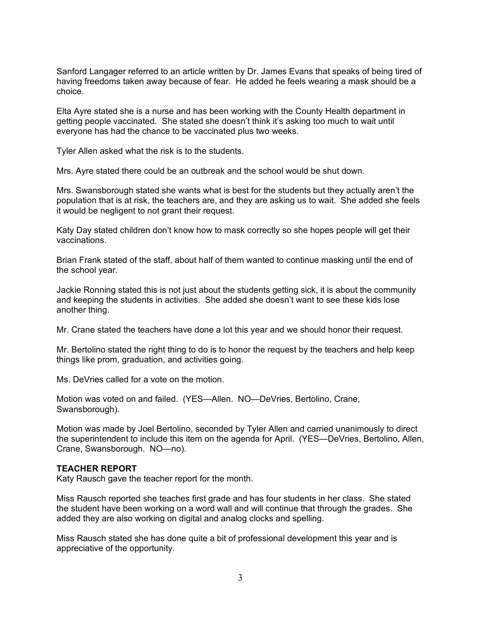Sanford Langager referred to an article written by Dr. James Evans that speaks of being tired of having freedoms taken away because of fear. He added he feels wearing a mask should be a choice.

Elta Ayre stated she is a nurse and has been working with the County Health department in getting people vaccinated. She stated she doesn't think it's asking too much to wait until everyone has had the chance to be vaccinated plus two weeks.

Tyler Allen asked what the risk is to the students.

Mrs. Ayre stated there could be an outbreak and the school would be shut down.

Mrs. Swansborough stated she wants what is best for the students but they actually aren't the population that is at risk, the teachers are, and they are asking us to wait. She added she feels it would be negligent to not grant their request.

Katy Day stated children don't know how to mask correctly so she hopes people will get their vaccinations.

Brian Frank stated of the staff, about half of them wanted to continue masking until the end of the school year.

Jackie Ronning stated this is not just about the students getting sick, it is about the community and keeping the students in activities. She added she doesn't want to see these kids lose another thing.

Mr. Crane stated the teachers have done a lot this year and we should honor their request.

Mr. Bertolino stated the right thing to do is to honor the request by the teachers and help keep things like prom, graduation, and activities going.

Ms. DeVries called for a vote on the motion.

Motion was voted on and failed. (YES—Allen. NO—DeVries, Bertolino, Crane, Swansborough).

Motion was made by Joel Bertolino, seconded by Tyler Allen and carried unanimously to direct the superintendent to include this item on the agenda for April. (YES—DeVries, Bertolino, Allen, Crane, Swansborough. NO—no).

#### **TEACHER REPORT**

Katy Rausch gave the teacher report for the month.

Miss Rausch reported she teaches first grade and has four students in her class. She stated the student have been working on a word wall and will continue that through the grades. She added they are also working on digital and analog clocks and spelling.

Miss Rausch stated she has done quite a bit of professional development this year and is appreciative of the opportunity.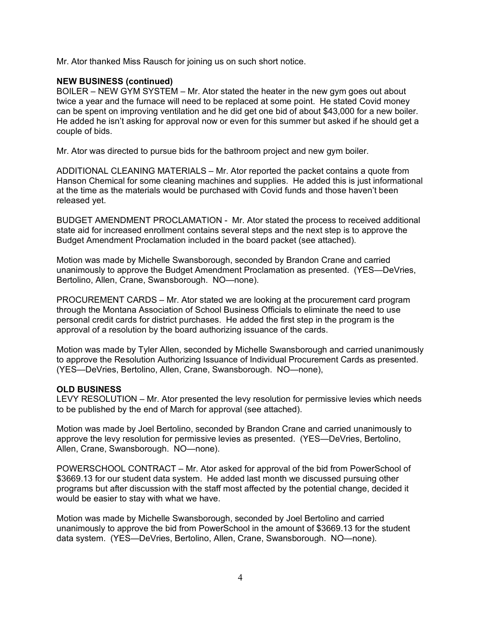Mr. Ator thanked Miss Rausch for joining us on such short notice.

## **NEW BUSINESS (continued)**

BOILER – NEW GYM SYSTEM – Mr. Ator stated the heater in the new gym goes out about twice a year and the furnace will need to be replaced at some point. He stated Covid money can be spent on improving ventilation and he did get one bid of about \$43,000 for a new boiler. He added he isn't asking for approval now or even for this summer but asked if he should get a couple of bids.

Mr. Ator was directed to pursue bids for the bathroom project and new gym boiler.

ADDITIONAL CLEANING MATERIALS – Mr. Ator reported the packet contains a quote from Hanson Chemical for some cleaning machines and supplies. He added this is just informational at the time as the materials would be purchased with Covid funds and those haven't been released yet.

BUDGET AMENDMENT PROCLAMATION - Mr. Ator stated the process to received additional state aid for increased enrollment contains several steps and the next step is to approve the Budget Amendment Proclamation included in the board packet (see attached).

Motion was made by Michelle Swansborough, seconded by Brandon Crane and carried unanimously to approve the Budget Amendment Proclamation as presented. (YES—DeVries, Bertolino, Allen, Crane, Swansborough. NO—none).

PROCUREMENT CARDS – Mr. Ator stated we are looking at the procurement card program through the Montana Association of School Business Officials to eliminate the need to use personal credit cards for district purchases. He added the first step in the program is the approval of a resolution by the board authorizing issuance of the cards.

Motion was made by Tyler Allen, seconded by Michelle Swansborough and carried unanimously to approve the Resolution Authorizing Issuance of Individual Procurement Cards as presented. (YES—DeVries, Bertolino, Allen, Crane, Swansborough. NO—none),

## **OLD BUSINESS**

LEVY RESOLUTION – Mr. Ator presented the levy resolution for permissive levies which needs to be published by the end of March for approval (see attached).

Motion was made by Joel Bertolino, seconded by Brandon Crane and carried unanimously to approve the levy resolution for permissive levies as presented. (YES—DeVries, Bertolino, Allen, Crane, Swansborough. NO—none).

POWERSCHOOL CONTRACT – Mr. Ator asked for approval of the bid from PowerSchool of \$3669.13 for our student data system. He added last month we discussed pursuing other programs but after discussion with the staff most affected by the potential change, decided it would be easier to stay with what we have.

Motion was made by Michelle Swansborough, seconded by Joel Bertolino and carried unanimously to approve the bid from PowerSchool in the amount of \$3669.13 for the student data system. (YES—DeVries, Bertolino, Allen, Crane, Swansborough. NO—none).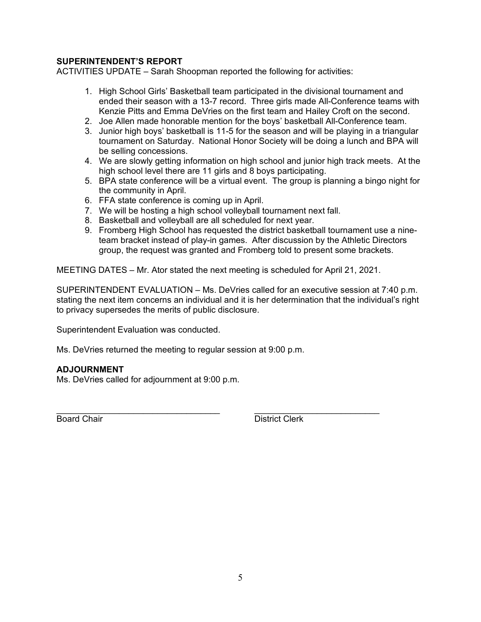## **SUPERINTENDENT'S REPORT**

ACTIVITIES UPDATE – Sarah Shoopman reported the following for activities:

- 1. High School Girls' Basketball team participated in the divisional tournament and ended their season with a 13-7 record. Three girls made All-Conference teams with Kenzie Pitts and Emma DeVries on the first team and Hailey Croft on the second.
- 2. Joe Allen made honorable mention for the boys' basketball All-Conference team.
- 3. Junior high boys' basketball is 11-5 for the season and will be playing in a triangular tournament on Saturday. National Honor Society will be doing a lunch and BPA will be selling concessions.
- 4. We are slowly getting information on high school and junior high track meets. At the high school level there are 11 girls and 8 boys participating.
- 5. BPA state conference will be a virtual event. The group is planning a bingo night for the community in April.
- 6. FFA state conference is coming up in April.
- 7. We will be hosting a high school volleyball tournament next fall.
- 8. Basketball and volleyball are all scheduled for next year.
- 9. Fromberg High School has requested the district basketball tournament use a nineteam bracket instead of play-in games. After discussion by the Athletic Directors group, the request was granted and Fromberg told to present some brackets.

MEETING DATES – Mr. Ator stated the next meeting is scheduled for April 21, 2021.

SUPERINTENDENT EVALUATION – Ms. DeVries called for an executive session at 7:40 p.m. stating the next item concerns an individual and it is her determination that the individual's right to privacy supersedes the merits of public disclosure.

Superintendent Evaluation was conducted.

Ms. DeVries returned the meeting to regular session at 9:00 p.m.

## **ADJOURNMENT**

Ms. DeVries called for adjournment at 9:00 p.m.

\_\_\_\_\_\_\_\_\_\_\_\_\_\_\_\_\_\_\_\_\_\_\_\_\_\_\_\_\_\_\_\_\_\_ \_\_\_\_\_\_\_\_\_\_\_\_\_\_\_\_\_\_\_\_\_\_\_\_\_\_ Board Chair **District Clerk**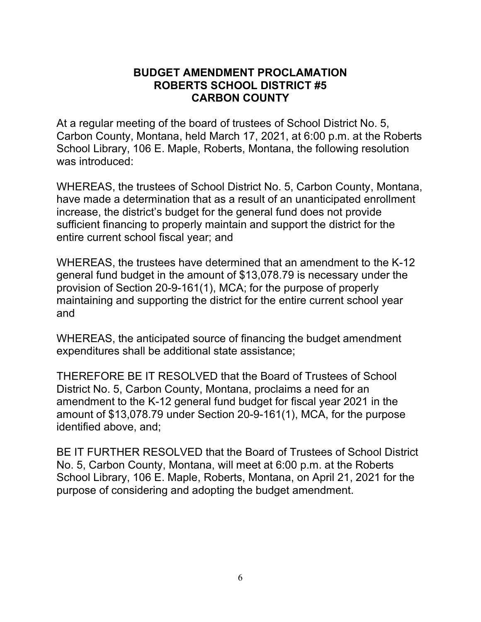## **BUDGET AMENDMENT PROCLAMATION ROBERTS SCHOOL DISTRICT #5 CARBON COUNTY**

At a regular meeting of the board of trustees of School District No. 5, Carbon County, Montana, held March 17, 2021, at 6:00 p.m. at the Roberts School Library, 106 E. Maple, Roberts, Montana, the following resolution was introduced:

WHEREAS, the trustees of School District No. 5, Carbon County, Montana, have made a determination that as a result of an unanticipated enrollment increase, the district's budget for the general fund does not provide sufficient financing to properly maintain and support the district for the entire current school fiscal year; and

WHEREAS, the trustees have determined that an amendment to the K-12 general fund budget in the amount of \$13,078.79 is necessary under the provision of Section 20-9-161(1), MCA; for the purpose of properly maintaining and supporting the district for the entire current school year and

WHEREAS, the anticipated source of financing the budget amendment expenditures shall be additional state assistance;

THEREFORE BE IT RESOLVED that the Board of Trustees of School District No. 5, Carbon County, Montana, proclaims a need for an amendment to the K-12 general fund budget for fiscal year 2021 in the amount of \$13,078.79 under Section 20-9-161(1), MCA, for the purpose identified above, and;

BE IT FURTHER RESOLVED that the Board of Trustees of School District No. 5, Carbon County, Montana, will meet at 6:00 p.m. at the Roberts School Library, 106 E. Maple, Roberts, Montana, on April 21, 2021 for the purpose of considering and adopting the budget amendment.